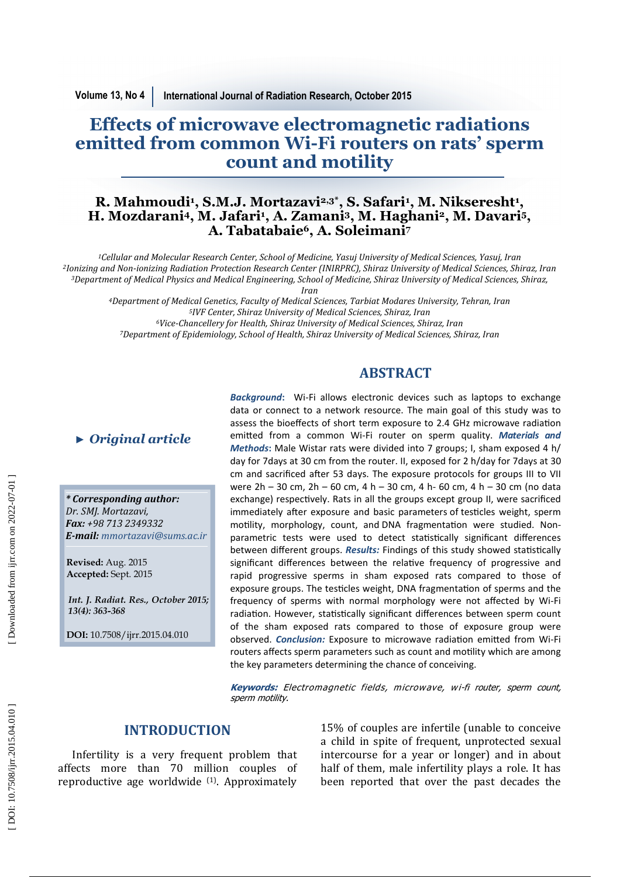# **Effects of microwave electromagnetic radiations emitted from common Wi-Fi routers on rats' sperm count and motility**

# **R.** Mahmoudi<sup>1</sup>, S.M.J. Mortazavi<sup>2,3\*</sup>, S. Safari<sup>1</sup>, M. Nikseresht<sup>1</sup>, **H. Mozdarani <sup>4</sup>, M. Jafari 1 , A. Zamani <sup>3</sup>, M. Haghani <sup>2</sup>, M. Davari 5, A. Tabatabaie <sup>6</sup>, A. Soleimani<sup>7</sup>**

*<sup>1</sup>Cellular and Molecular Research Center, School of Medicine, Yasuj University of Medical Sciences, Yasuj, Iran*  <sup>2</sup>*Ionizing and Non-ionizing Radiation Protection Research Center (INIRPRC), Shiraz University of Medical Sciences, Shiraz, Iran* <sup>3</sup>Department of Medical Physics and Medical Engineering, School of Medicine, Shiraz University of Medical Sciences, Shiraz,

*Iran* 

*<sup>4</sup>Department of Medical Genetics, Faculty of Medical Sciences, Tarbiat Modares University, Tehran, Iran <sup>5</sup>IVF Center, Shiraz University of Medical Sciences, Shiraz, Iran* 

<sup>6</sup>Vice-Chancellery for Health, Shiraz University of Medical Sciences, Shiraz, Iran <sup>7</sup>*Department of Epidemiology, School of Health, Shiraz University of Medical Sciences, Shiraz, Iran* 

*\* Corresponding author:*  Dr. SMI. Mortazavi. *Fax: +98 713 2349332 E-mail: mmortazavi@sums.ac.ir*  → *Original article*<br>
† Corresponding author:<br>
Dr. SMJ. Mortazavi,<br>
Fax: +98 713 2349332<br>
E-mail: mmortazavi@sums.a<br>
Revised: Aug. 2015<br>Accepted: Sept. 2015<br>Int. J. Radiat. Res., October 21<br>13(4): 363-368

**Revised:** Aug. 2015 **Accepted:** Sept. 2015

*Int. J. Radiat. Res., October 2015;* 

**DOI:** 10.7508/ijrr.2015.04.010

# **ABSTRACT**

*Background* **:** Wi-Fi allows electronic devices such as laptops to exchange data or connect to a network resource. The main goal of this study was to assess the bioeffects of short term exposure to 2.4 GHz microwave radiation emitted from a common Wi-Fi router on sperm quality. Materials and *Methods* **:** Male Wistar rats were divided into 7 groups; I, sham exposed 4 h/ day for 7days at 30 cm from the router. II, exposed for 2 h/day for 7days at 30 cm and sacrificed after 53 days. The exposure protocols for groups III to VII were 2h – 30 cm, 2h – 60 cm, 4 h – 30 cm, 4 h- 60 cm, 4 h – 30 cm (no data exchange) respectively. Rats in all the groups except group II, were sacrificed immediately after exposure and basic parameters of testicles weight, sperm motility, morphology, count, and DNA fragmentation were studied. Nonparametric tests were used to detect statistically significant differences between different groups. *Results:* Findings of this study showed statistically significant differences between the relative frequency of progressive and rapid progressive sperms in sham exposed rats compared to those of exposure groups. The testicles weight, DNA fragmentation of sperms and the frequency of sperms with normal morphology were not affected by Wi-Fi radiation. However, statistically significant differences between sperm count of the sham exposed rats compared to those of exposure group were observed. *Conclusion:* Exposure to microwave radiation emitted from Wi-Fi routers affects sperm parameters such as count and motility which are among the key parameters determining the chance of conceiving.

**Keywords:** Electromagnetic fields, microwave, wi-fi router, sperm count, sperm motility.

# **INTRODUCTION**

Infertility is a very frequent problem that affects more than 70 million couples of reproductive age worldwide <sup>(1)</sup>. Approximately

15% of couples are infertile (unable to conceive a child in spite of frequent, unprotected sexual intercourse for a year or longer) and in about half of them, male infertility plays a role. It has been reported that over the past decades the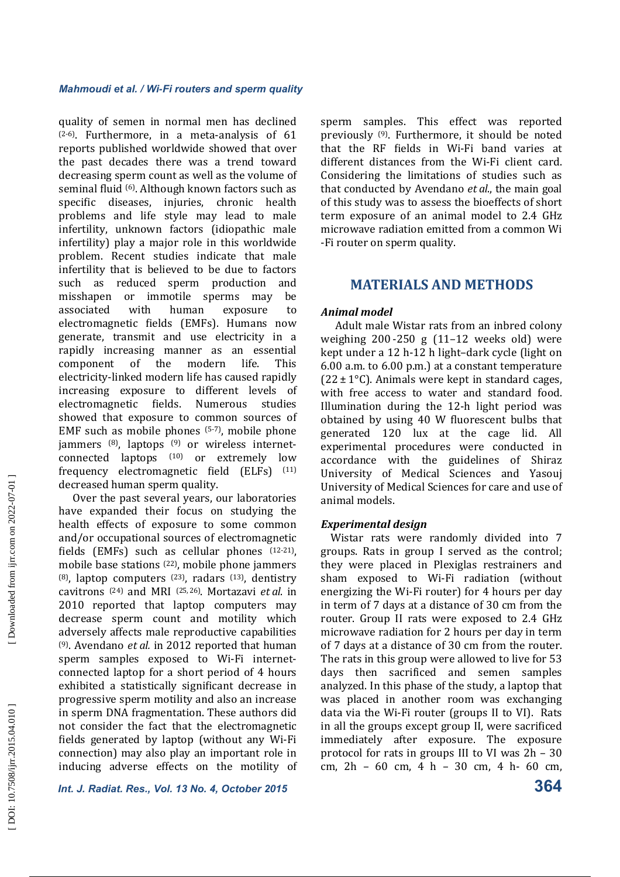quality of semen in normal men has declined  $(2-6)$ . Furthermore, in a meta-analysis of 61 reports published worldwide showed that over the past decades there was a trend toward decreasing sperm count as well as the volume of seminal fluid <sup>(6)</sup>. Although known factors such as specific diseases, injuries, chronic health problems and life style may lead to male infertility, unknown factors (idiopathic male infertility) play a major role in this worldwide problem. Recent studies indicate that male infertility that is believed to be due to factors such as reduced sperm production and misshapen or immotile sperms may be associated with human exposure to Animal model electromagnetic fields (EMFs). Humans now generate, transmit and use electricity in a rapidly increasing manner as an essential component of the modern life. This  $6.00$  a.m. to  $6.00$  p.m.) at a constant temperature electricity-linked modern life has caused rapidly increasing exposure to different levels of electromagnetic fields. Numerous studies showed that exposure to common sources of EMF such as mobile phones  $(5-7)$ , mobile phone jammers  $(8)$ , laptops  $(9)$  or wireless internetconnected laptops (10) or extremely low frequency electromagnetic field  $(ELFs)$  (11) decreased human sperm quality.

Over the past several years, our laboratories have expanded their focus on studying the health effects of exposure to some common and/or occupational sources of electromagnetic fields (EMFs) such as cellular phones  $(12-21)$ , mobile base stations  $(22)$ , mobile phone jammers  $(8)$ , laptop computers  $(23)$ , radars  $(13)$ , dentistry cavitrons<sup>(24)</sup> and MRI<sup>(25,26)</sup>. Mortazavi *et al.* in 2010 reported that laptop computers may decrease sperm count and motility which adversely affects male reproductive capabilities (9). Avendano *et al.* in 2012 reported that human sperm samples exposed to Wi-Fi internetconnected laptop for a short period of 4 hours exhibited a statistically significant decrease in progressive sperm motility and also an increase in sperm DNA fragmentation. These authors did not consider the fact that the electromagnetic fields generated by laptop (without any Wi-Fi connection) may also play an important role in inducing adverse effects on the motility of sperm samples. This effect was reported previously  $(9)$ . Furthermore, it should be noted that the RF fields in Wi-Fi band varies at different distances from the Wi-Fi client card. Considering the limitations of studies such as that conducted by Avendano *et al.*, the main goal of this study was to assess the bioeffects of short term exposure of an animal model to 2.4 GHz microwave radiation emitted from a common Wi -Fi router on sperm quality.

# **MATERIALS AND METHODS**

University of Medical Sciences and Yasouj Adult male Wistar rats from an inbred colony weighing  $200 - 250$  g  $(11-12$  weeks old) were kept under a 12 h-12 h light-dark cycle (light on  $(22 \pm 1^{\circ}C)$ . Animals were kept in standard cages, with free access to water and standard food. Illumination during the  $12-h$  light period was obtained by using 40 W fluorescent bulbs that generated 120 lux at the cage lid. All experimental procedures were conducted in accordance with the guidelines of Shiraz University of Medical Sciences for care and use of animal models.

### *Experimental design*

, groups. Rats in group I served as the control; Wistar rats were randomly divided into 7 they were placed in Plexiglas restrainers and sham exposed to Wi-Fi radiation (without energizing the Wi-Fi router) for 4 hours per day in term of 7 days at a distance of 30 cm from the router. Group II rats were exposed to 2.4 GHz microwave radiation for 2 hours per day in term of 7 days at a distance of 30 cm from the router. The rats in this group were allowed to live for 53 days then sacrificed and semen samples analyzed. In this phase of the study, a laptop that was placed in another room was exchanging data via the Wi-Fi router (groups II to VI). Rats in all the groups except group II, were sacrificed immediately after exposure. The exposure protocol for rats in groups III to VI was  $2h - 30$ cm,  $2h - 60$  cm,  $4h - 30$  cm,  $4h - 60$  cm,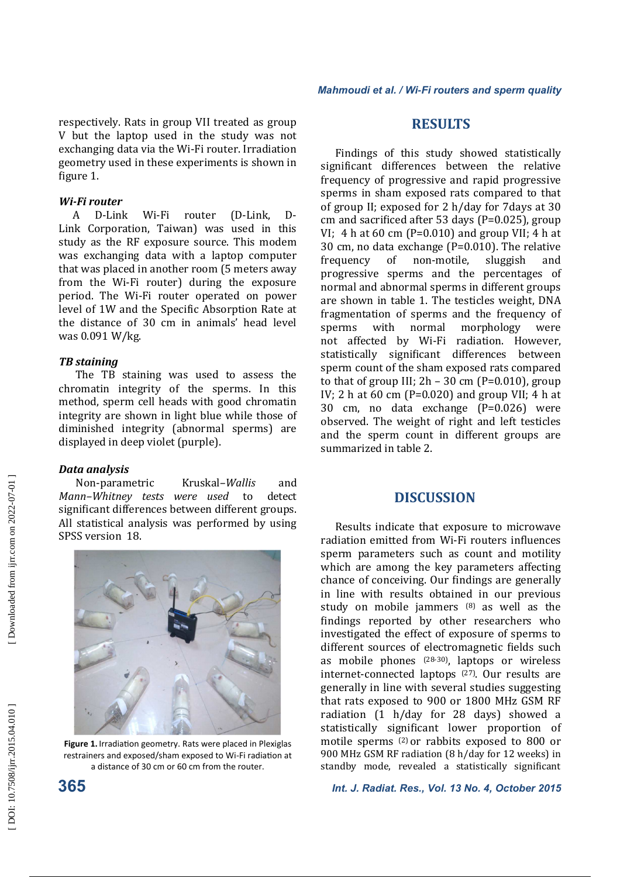respectively. Rats in group VII treated as group V but the laptop used in the study was not exchanging data via the Wi-Fi router. Irradiation geometry used in these experiments is shown in figure 1.

### *Wi-Fi router*

A D-Link Wi-Fi router (D-Link, D-Link Corporation, Taiwan) was used in this study as the RF exposure source. This modem was exchanging data with a laptop computer that was placed in another room (5 meters away from the Wi-Fi router) during the exposure period. The Wi-Fi router operated on power level of 1W and the Specific Absorption Rate at the distance of 30 cm in animals' head level was 0.091 W/kg. 

#### *TB staining*

The TB staining was used to assess the chromatin integrity of the sperms. In this method, sperm cell heads with good chromatin integrity are shown in light blue while those of diminished integrity (abnormal sperms) are displayed in deep violet (purple).

#### *Data analysis*

Non-parametric Kruskal-*Wallis* and *Mann–Whitney tests were used* to detect significant differences between different groups. All statistical analysis was performed by using SPSS version 18.



Figure 1. Irradiation geometry. Rats were placed in Plexiglas restrainers and exposed/sham exposed to Wi-Fi radiation at a distance of 30 cm or 60 cm from the router.

# **RESULTS**

Findings of this study showed statistically significant differences between the relative frequency of progressive and rapid progressive sperms in sham exposed rats compared to that of group II; exposed for  $2 h/day$  for  $7 days$  at  $30$ cm and sacrificed after  $53$  days (P=0.025), group VI; 4 h at 60 cm (P=0.010) and group VII; 4 h at 30 cm, no data exchange  $(P=0.010)$ . The relative frequency of non-motile, sluggish and progressive sperms and the percentages of normal and abnormal sperms in different groups are shown in table 1. The testicles weight, DNA fragmentation of sperms and the frequency of sperms with normal morphology were not affected by Wi-Fi radiation. However, statistically significant differences between sperm count of the sham exposed rats compared to that of group III;  $2h - 30$  cm (P=0.010), group IV; 2 h at 60 cm ( $P=0.020$ ) and group VII; 4 h at 30 cm, no data exchange (P=0.026) were observed. The weight of right and left testicles and the sperm count in different groups are summarized in table 2.

# **DISCUSSION**

Results indicate that exposure to microwave radiation emitted from Wi-Fi routers influences sperm parameters such as count and motility which are among the key parameters affecting chance of conceiving. Our findings are generally in line with results obtained in our previous study on mobile jammers  $(8)$  as well as the findings reported by other researchers who investigated the effect of exposure of sperms to different sources of electromagnetic fields such as mobile phones  $(28-30)$ , laptops or wireless internet-connected laptops  $(27)$ . Our results are generally in line with several studies suggesting that rats exposed to 900 or 1800 MHz GSM RF radiation (1 h/day for 28 days) showed a statistically significant lower proportion of motile sperms  $(2)$  or rabbits exposed to 800 or 900 MHz GSM RF radiation (8 h/day for 12 weeks) in standby mode, revealed a statistically significant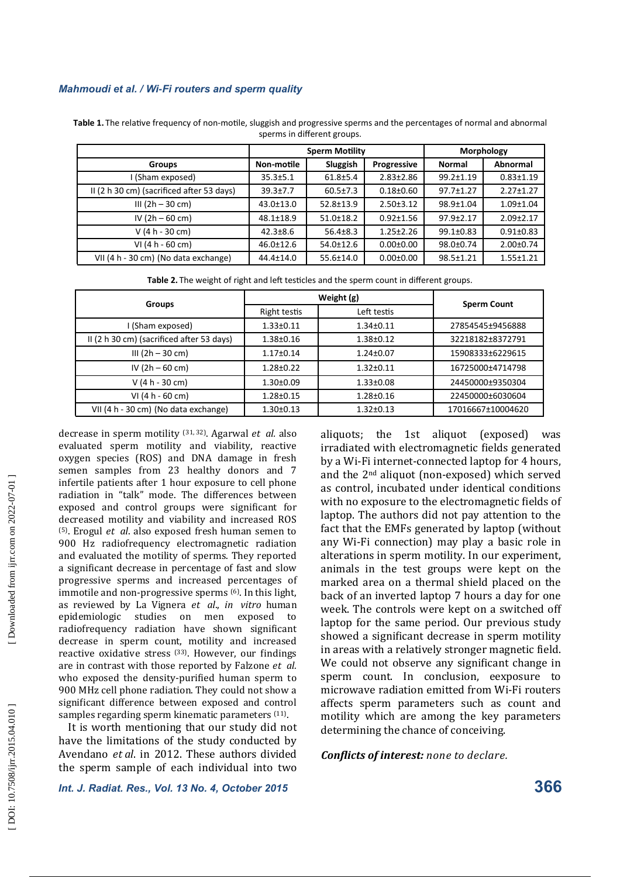|                                           | <b>Sperm Motility</b> |                 |                 | Morphology      |                 |
|-------------------------------------------|-----------------------|-----------------|-----------------|-----------------|-----------------|
| <b>Groups</b>                             | Non-motile            | Sluggish        | Progressive     | <b>Normal</b>   | <b>Abnormal</b> |
| I (Sham exposed)                          | $35.3 \pm 5.1$        | $61.8 \pm 5.4$  | $2.83 \pm 2.86$ | 99.2±1.19       | $0.83 \pm 1.19$ |
| II (2 h 30 cm) (sacrificed after 53 days) | $39.3 \pm 7.7$        | $60.5 \pm 7.3$  | $0.18 \pm 0.60$ | 97.7±1.27       | $2.27 \pm 1.27$ |
| $III (2h - 30 cm)$                        | 43.0±13.0             | 52.8±13.9       | $2.50 \pm 3.12$ | 98.9±1.04       | $1.09 \pm 1.04$ |
| IV $(2h - 60 \text{ cm})$                 | 48.1±18.9             | $51.0 \pm 18.2$ | $0.92 \pm 1.56$ | $97.9 \pm 2.17$ | $2.09 \pm 2.17$ |
| $V(4 h - 30 cm)$                          | $42.3 \pm 8.6$        | $56.4 \pm 8.3$  | $1.25 \pm 2.26$ | 99.1±0.83       | $0.91 \pm 0.83$ |
| VI (4 h - 60 cm)                          | $46.0 \pm 12.6$       | $54.0 \pm 12.6$ | $0.00 \pm 0.00$ | 98.0±0.74       | $2.00 \pm 0.74$ |
| VII (4 h - 30 cm) (No data exchange)      | 44.4±14.0             | 55.6±14.0       | $0.00 \pm 0.00$ | 98.5±1.21       | $1.55 \pm 1.21$ |

**Table 1.** The relative frequency of non-motile, sluggish and progressive sperms and the percentages of normal and abnormal sperms in different groups.

| Table 2. The weight of right and left testicles and the sperm count in different groups. |  |
|------------------------------------------------------------------------------------------|--|
|------------------------------------------------------------------------------------------|--|

| <b>Groups</b>                             |                 | Weight (g)      | <b>Sperm Count</b> |  |
|-------------------------------------------|-----------------|-----------------|--------------------|--|
|                                           | Right testis    | Left testis     |                    |  |
| I (Sham exposed)                          | $1.33 \pm 0.11$ | $1.34 \pm 0.11$ | 27854545±9456888   |  |
| II (2 h 30 cm) (sacrificed after 53 days) | 1.38±0.16       | $1.38 + 0.12$   | 32218182±8372791   |  |
| III (2h – 30 cm)                          | $1.17 \pm 0.14$ | $1.24 \pm 0.07$ | 15908333±6229615   |  |
| $IV (2h - 60 cm)$                         | $1.28 \pm 0.22$ | $1.32 \pm 0.11$ | 16725000±4714798   |  |
| $V(4 h - 30 cm)$                          | $1.30 \pm 0.09$ | $1.33 \pm 0.08$ | 24450000±9350304   |  |
| VI (4 h - 60 cm)                          | $1.28 \pm 0.15$ | 1.28±0.16       | 22450000±6030604   |  |
| VII (4 h - 30 cm) (No data exchange)      | $1.30 \pm 0.13$ | $1.32 \pm 0.13$ | 17016667±10004620  |  |

decrease in sperm motility <sup>(31, 32)</sup>. Agarwal *et al.* also evaluated sperm motility and viability, reactive oxygen species (ROS) and DNA damage in fresh semen samples from 23 healthy donors and 7 infertile patients after 1 hour exposure to cell phone radiation in "talk" mode. The differences between exposed and control groups were significant for decreased motility and viability and increased ROS (5). Erogul *et al*. also exposed fresh human semen to 900 Hz radiofrequency electromagnetic radiation and evaluated the motility of sperms. They reported a significant decrease in percentage of fast and slow progressive sperms and increased percentages of immotile and non-progressive sperms (6). In this light, as reviewed by La Vignera et al., in vitro human epidemiologic studies on men exposed to radiofrequency radiation have shown significant decrease in sperm count, motility and increased reactive oxidative stress  $(33)$ . However, our findings are in contrast with those reported by Falzone et al. who exposed the density-purified human sperm to 900 MHz cell phone radiation. They could not show a significant difference between exposed and control samples regarding sperm kinematic parameters <sup>(11)</sup>.

It is worth mentioning that our study did not have the limitations of the study conducted by Avendano et al. in 2012. These authors divided the sperm sample of each individual into two

aliquots; the 1st aliquot (exposed) was irradiated with electromagnetic fields generated by a Wi-Fi internet-connected laptop for 4 hours, and the  $2<sup>nd</sup>$  aliquot (non-exposed) which served as control, incubated under identical conditions with no exposure to the electromagnetic fields of laptop. The authors did not pay attention to the fact that the EMFs generated by laptop (without any Wi-Fi connection) may play a basic role in alterations in sperm motility. In our experiment, animals in the test groups were kept on the marked area on a thermal shield placed on the back of an inverted laptop 7 hours a day for one week. The controls were kept on a switched off laptop for the same period. Our previous study showed a significant decrease in sperm motility in areas with a relatively stronger magnetic field. We could not observe any significant change in sperm count. In conclusion, eexposure to microwave radiation emitted from Wi-Fi routers affects sperm parameters such as count and motility which are among the key parameters determining the chance of conceiving.

*Conflicts of interest: none to declare.*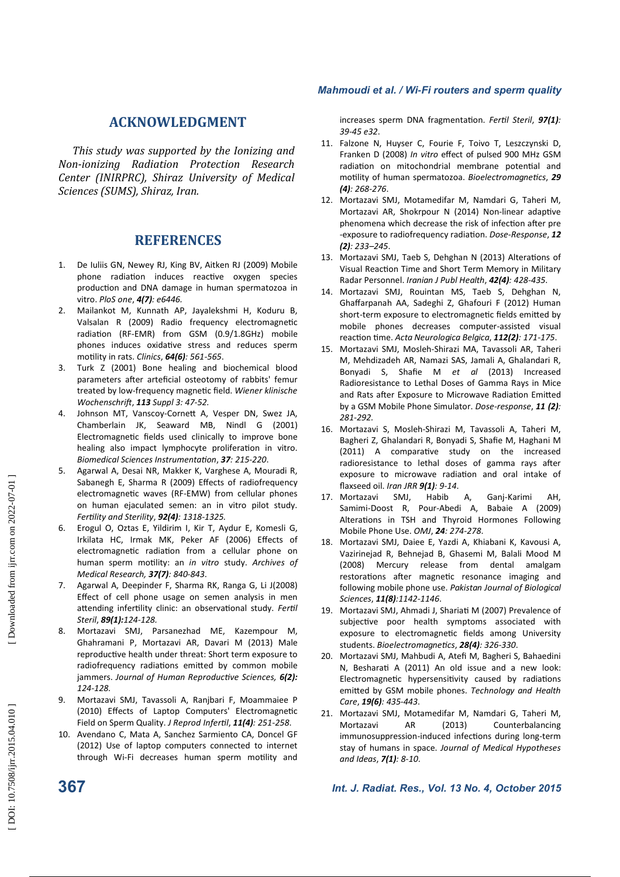# **ACKNOWLEDGMENT**

This study was supported by the Ionizing and *Non-ionizing Radiation Protection Research Center (INIRPRC), Shiraz University of Medical Sciences (SUMS), Shiraz, Iran.* 

### **REFERENCES**

- 1. De Iuliis GN, Newey RJ, King BV, Aitken RJ (2009) Mobile phone radiation induces reactive oxygen species production and DNA damage in human spermatozoa in vitro. *PloS one*, *4(7): e6446.*
- 2. Mailankot M, Kunnath AP, Jayalekshmi H, Koduru B, Valsalan R (2009) Radio frequency electromagnetic radiation (RF-EMR) from GSM (0.9/1.8GHz) mobile phones induces oxidative stress and reduces sperm mo\$lity in rats. *Clinics*, *64(6): 561-565*.
- Turk Z (2001) Bone healing and biochemical blood parameters after arteficial osteotomy of rabbits' femur treated by low-frequency magne\$c field. *Wiener klinische Wochenschri* , *113 Suppl 3: 47-52.*
- 4. Johnson MT, Vanscoy-Cornett A, Vesper DN, Swez JA, Chamberlain JK, Seaward MB, Nindl G (2001) Electromagnetic fields used clinically to improve bone healing also impact lymphocyte proliferation in vitro. *Biomedical Sciences Instrumenta#on*, *37: 215-220*.
- 5. Agarwal A, Desai NR, Makker K, Varghese A, Mouradi R, Sabanegh E, Sharma R (2009) Effects of radiofrequency electromagnetic waves (RF-EMW) from cellular phones on human ejaculated semen: an in vitro pilot study. *Fer#lity and Sterility*, *92(4): 1318-1325.*
- 6. Erogul O, Oztas E, Yildirim I, Kir T, Aydur E, Komesli G, Irkilata HC, Irmak MK, Peker AF (2006) Effects of electromagnetic radiation from a cellular phone on human sperm motility: an *in vitro* study. Archives of *Medical Research, 37(7): 840-843*.
- 7. Agarwal A, Deepinder F, Sharma RK, Ranga G, Li J(2008) Effect of cell phone usage on semen analysis in men attending infertility clinic: an observational study. Fertil *Steril* , *89(1):124-128.*
- 8. Mortazavi SMJ, Parsanezhad ME, Kazempour M, Ghahramani P, Mortazavi AR, Davari M (2013) Male reproductive health under threat: Short term exposure to radiofrequency radiations emitted by common mobile jammers. Journal of Human Reproductive Sciences, 6(2): *124-128.*
- 9. Mortazavi SMJ, Tavassoli A, Ranjbari F, Moammaiee P (2010) Effects of Laptop Computers' Electromagnetic Field on Sperm Quality. *J Reprod Infertil*, **11(4)***: 251-258*.
- 10. Avendano C, Mata A, Sanchez Sarmiento CA, Doncel GF (2012) Use of laptop computers connected to internet through Wi-Fi decreases human sperm motility and

#### *Mahmoudi et al. / Wi* **-***Fi routers and sperm quality*

increases sperm DNA fragmentation. *Fertil Steril*, 97(1): *39-45 e32*.

- 11. Falzone N, Huyser C, Fourie F, Toivo T, Leszczynski D, Franken D (2008) *In vitro* effect of pulsed 900 MHz GSM radiation on mitochondrial membrane potential and motility of human spermatozoa. *Bioelectromagnetics*, 29 *(4): 268-276*.
- 12. Mortazavi SMJ, Motamedifar M, Namdari G, Taheri M, Mortazavi AR, Shokrpour N (2014) Non-linear adaptive phenomena which decrease the risk of infection after pre -exposure to radiofrequency radiation. *Dose-Response*, 12 *(2): 233–245*.
- 13. Mortazavi SMJ, Taeb S, Dehghan N (2013) Alterations of Visual Reaction Time and Short Term Memory in Military Radar Personnel. *Iranian J Publ Health*, *42(4): 428-435*.
- 14. Mortazavi SMJ, Rouintan MS, Taeb S, Dehghan N, Ghaffarpanah AA, Sadeghi Z, Ghafouri F (2012) Human short-term exposure to electromagnetic fields emitted by mobile phones decreases computer-assisted visual reac\$on \$me. *Acta Neurologica Belgica*, *112(2): 171-175*.
- 15. Mortazavi SMJ, Mosleh-Shirazi MA, Tavassoli AR, Taheri M, Mehdizadeh AR, Namazi SAS, Jamali A, Ghalandari R, Bonyadi S, Shafie M *et al* (2013) Increased Radioresistance to Lethal Doses of Gamma Rays in Mice and Rats after Exposure to Microwave Radiation Emitted by a GSM Mobile Phone Simulator. *Dose-response* , *11 (2): 281-292.*
- 16. Mortazavi S, Mosleh-Shirazi M, Tavassoli A, Taheri M, Bagheri Z, Ghalandari R, Bonyadi S, Shafie M, Haghani M (2011) A comparative study on the increased radioresistance to lethal doses of gamma rays after exposure to microwave radiation and oral intake of flaxseed oil. *Iran JRR 9(1): 9-14*.
- 17. Mortazavi SMJ, Habib A, Ganj-Karimi AH, Samimi-Doost R, Pour-Abedi A, Babaie A (2009) Alterations in TSH and Thyroid Hormones Following Mobile Phone Use. *OMJ*, *24: 274-278*.
- 18. Mortazavi SMJ, Daiee E, Yazdi A, Khiabani K, Kavousi A, Vazirinejad R, Behnejad B, Ghasemi M, Balali Mood M (2008) Mercury release from dental amalgam restorations after magnetic resonance imaging and following mobile phone use. *Pakistan Journal of Biological Sciences*, *11(8):1142-1146*.
- 19. Mortazavi SMJ, Ahmadi J, Shariati M (2007) Prevalence of subjective poor health symptoms associated with exposure to electromagnetic fields among University students. *Bioelectromagne#cs*, *28(4): 326-330*.
- 20. Mortazavi SMJ, Mahbudi A, Atefi M, Bagheri S, Bahaedini N, Besharati A (2011) An old issue and a new look: Electromagnetic hypersensitivity caused by radiations emitted by GSM mobile phones. *Technology and Health Care*, *19(6): 435-443*.
- 21. Mortazavi SMJ, Motamedifar M, Namdari G, Taheri M, Mortazavi AR (2013) Counterbalancing immunosuppression-induced infections during long-term stay of humans in space. *Journal of Medical Hypotheses and Ideas*, *7(1): 8-10*.